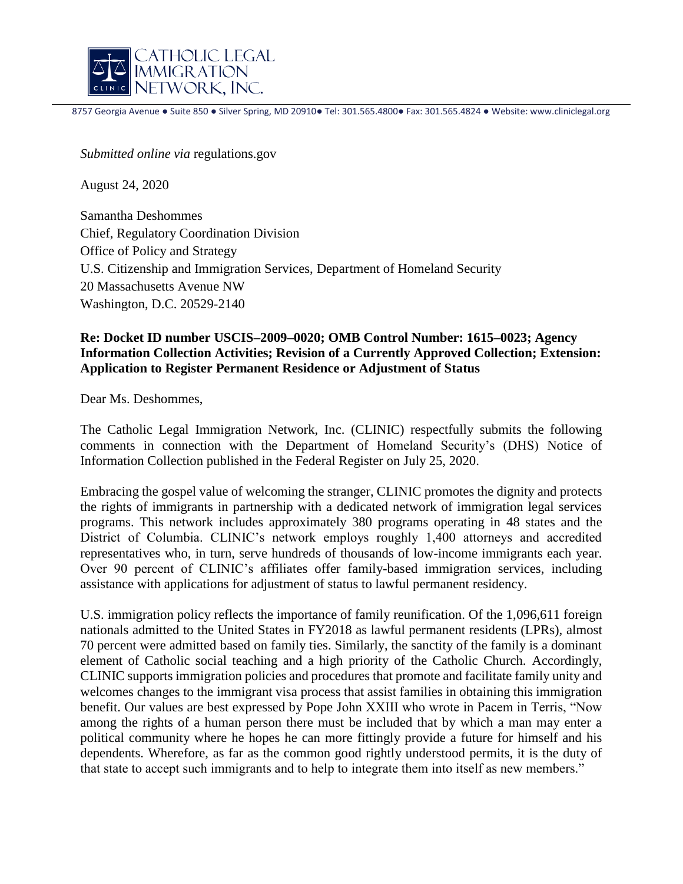

8757 Georgia Avenue ● Suite 850 ● Silver Spring, MD 20910● Tel: 301.565.4800● Fax: 301.565.4824 ● Website: www.cliniclegal.org

l

*Submitted online via* regulations.gov

August 24, 2020

Samantha Deshommes Chief, Regulatory Coordination Division Office of Policy and Strategy U.S. Citizenship and Immigration Services, Department of Homeland Security 20 Massachusetts Avenue NW Washington, D.C. 20529-2140

## **Re: Docket ID number USCIS–2009–0020; OMB Control Number: 1615–0023; Agency Information Collection Activities; Revision of a Currently Approved Collection; Extension: Application to Register Permanent Residence or Adjustment of Status**

Dear Ms. Deshommes,

The Catholic Legal Immigration Network, Inc. (CLINIC) respectfully submits the following comments in connection with the Department of Homeland Security's (DHS) Notice of Information Collection published in the Federal Register on July 25, 2020.

Embracing the gospel value of welcoming the stranger, CLINIC promotes the dignity and protects the rights of immigrants in partnership with a dedicated network of immigration legal services programs. This network includes approximately 380 programs operating in 48 states and the District of Columbia. CLINIC's network employs roughly 1,400 attorneys and accredited representatives who, in turn, serve hundreds of thousands of low-income immigrants each year. Over 90 percent of CLINIC's affiliates offer family-based immigration services, including assistance with applications for adjustment of status to lawful permanent residency.

U.S. immigration policy reflects the importance of family reunification. Of the 1,096,611 foreign nationals admitted to the United States in FY2018 as lawful permanent residents (LPRs), almost 70 percent were admitted based on family ties. Similarly, the sanctity of the family is a dominant element of Catholic social teaching and a high priority of the Catholic Church. Accordingly, CLINIC supports immigration policies and procedures that promote and facilitate family unity and welcomes changes to the immigrant visa process that assist families in obtaining this immigration benefit. Our values are best expressed by Pope John XXIII who wrote in Pacem in Terris, "Now among the rights of a human person there must be included that by which a man may enter a political community where he hopes he can more fittingly provide a future for himself and his dependents. Wherefore, as far as the common good rightly understood permits, it is the duty of that state to accept such immigrants and to help to integrate them into itself as new members."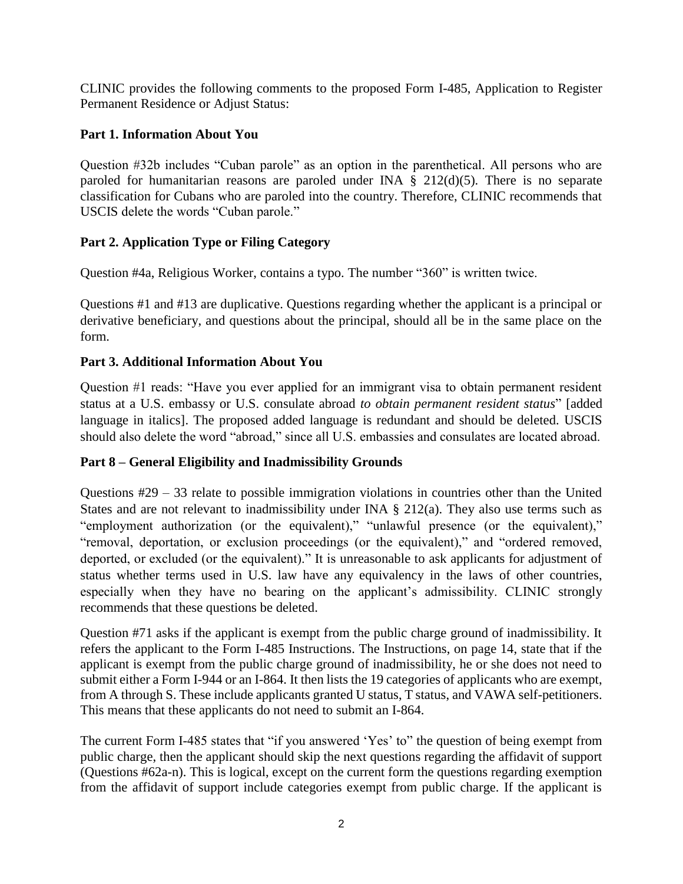CLINIC provides the following comments to the proposed Form I-485, Application to Register Permanent Residence or Adjust Status:

# **Part 1. Information About You**

Question #32b includes "Cuban parole" as an option in the parenthetical. All persons who are paroled for humanitarian reasons are paroled under INA  $\S$  212(d)(5). There is no separate classification for Cubans who are paroled into the country. Therefore, CLINIC recommends that USCIS delete the words "Cuban parole."

# **Part 2. Application Type or Filing Category**

Question #4a, Religious Worker, contains a typo. The number "360" is written twice.

Questions #1 and #13 are duplicative. Questions regarding whether the applicant is a principal or derivative beneficiary, and questions about the principal, should all be in the same place on the form.

# **Part 3. Additional Information About You**

Question #1 reads: "Have you ever applied for an immigrant visa to obtain permanent resident status at a U.S. embassy or U.S. consulate abroad *to obtain permanent resident status*" [added language in italics]. The proposed added language is redundant and should be deleted. USCIS should also delete the word "abroad," since all U.S. embassies and consulates are located abroad.

# **Part 8 – General Eligibility and Inadmissibility Grounds**

Questions #29 – 33 relate to possible immigration violations in countries other than the United States and are not relevant to inadmissibility under INA  $\S$  212(a). They also use terms such as "employment authorization (or the equivalent)," "unlawful presence (or the equivalent)," "removal, deportation, or exclusion proceedings (or the equivalent)," and "ordered removed, deported, or excluded (or the equivalent)." It is unreasonable to ask applicants for adjustment of status whether terms used in U.S. law have any equivalency in the laws of other countries, especially when they have no bearing on the applicant's admissibility. CLINIC strongly recommends that these questions be deleted.

Question #71 asks if the applicant is exempt from the public charge ground of inadmissibility. It refers the applicant to the Form I-485 Instructions. The Instructions, on page 14, state that if the applicant is exempt from the public charge ground of inadmissibility, he or she does not need to submit either a Form I-944 or an I-864. It then lists the 19 categories of applicants who are exempt, from A through S. These include applicants granted U status, T status, and VAWA self-petitioners. This means that these applicants do not need to submit an I-864.

The current Form I-485 states that "if you answered 'Yes' to" the question of being exempt from public charge, then the applicant should skip the next questions regarding the affidavit of support (Questions #62a-n). This is logical, except on the current form the questions regarding exemption from the affidavit of support include categories exempt from public charge. If the applicant is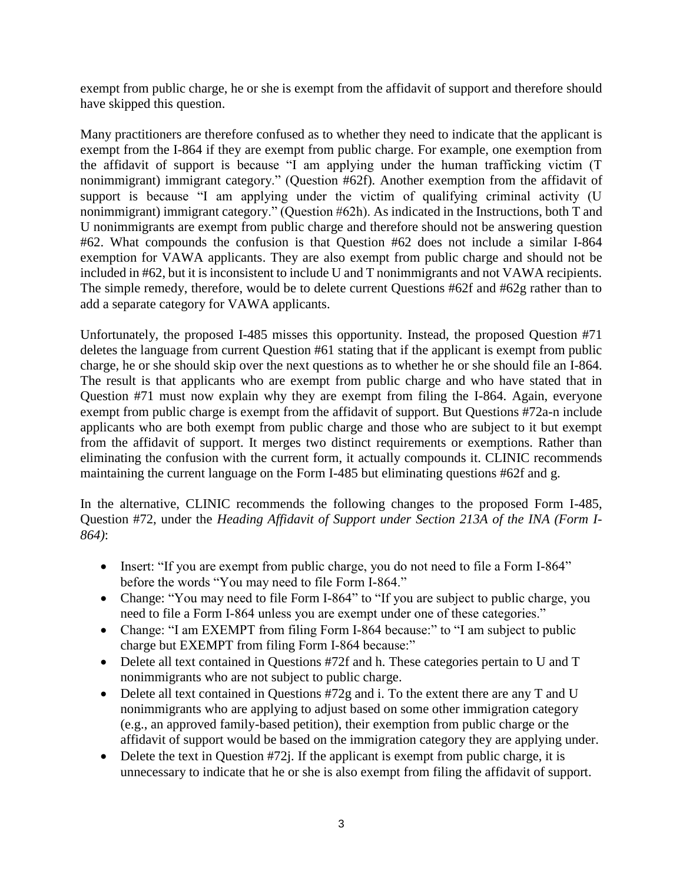exempt from public charge, he or she is exempt from the affidavit of support and therefore should have skipped this question.

Many practitioners are therefore confused as to whether they need to indicate that the applicant is exempt from the I-864 if they are exempt from public charge. For example, one exemption from the affidavit of support is because "I am applying under the human trafficking victim (T nonimmigrant) immigrant category." (Question #62f). Another exemption from the affidavit of support is because "I am applying under the victim of qualifying criminal activity (U nonimmigrant) immigrant category." (Question #62h). As indicated in the Instructions, both T and U nonimmigrants are exempt from public charge and therefore should not be answering question #62. What compounds the confusion is that Question #62 does not include a similar I-864 exemption for VAWA applicants. They are also exempt from public charge and should not be included in #62, but it is inconsistent to include U and T nonimmigrants and not VAWA recipients. The simple remedy, therefore, would be to delete current Questions #62f and #62g rather than to add a separate category for VAWA applicants.

Unfortunately, the proposed I-485 misses this opportunity. Instead, the proposed Question #71 deletes the language from current Question #61 stating that if the applicant is exempt from public charge, he or she should skip over the next questions as to whether he or she should file an I-864. The result is that applicants who are exempt from public charge and who have stated that in Question #71 must now explain why they are exempt from filing the I-864. Again, everyone exempt from public charge is exempt from the affidavit of support. But Questions #72a-n include applicants who are both exempt from public charge and those who are subject to it but exempt from the affidavit of support. It merges two distinct requirements or exemptions. Rather than eliminating the confusion with the current form, it actually compounds it. CLINIC recommends maintaining the current language on the Form I-485 but eliminating questions #62f and g.

In the alternative, CLINIC recommends the following changes to the proposed Form I-485, Question #72, under the *Heading Affidavit of Support under Section 213A of the INA (Form I-864)*:

- Insert: "If you are exempt from public charge, you do not need to file a Form I-864" before the words "You may need to file Form I-864."
- Change: "You may need to file Form I-864" to "If you are subject to public charge, you need to file a Form I-864 unless you are exempt under one of these categories."
- Change: "I am EXEMPT from filing Form I-864 because:" to "I am subject to public charge but EXEMPT from filing Form I-864 because:"
- Delete all text contained in Questions #72f and h. These categories pertain to U and T nonimmigrants who are not subject to public charge.
- Delete all text contained in Questions #72g and i. To the extent there are any T and U nonimmigrants who are applying to adjust based on some other immigration category (e.g., an approved family-based petition), their exemption from public charge or the affidavit of support would be based on the immigration category they are applying under.
- $\bullet$  Delete the text in Question #72j. If the applicant is exempt from public charge, it is unnecessary to indicate that he or she is also exempt from filing the affidavit of support.